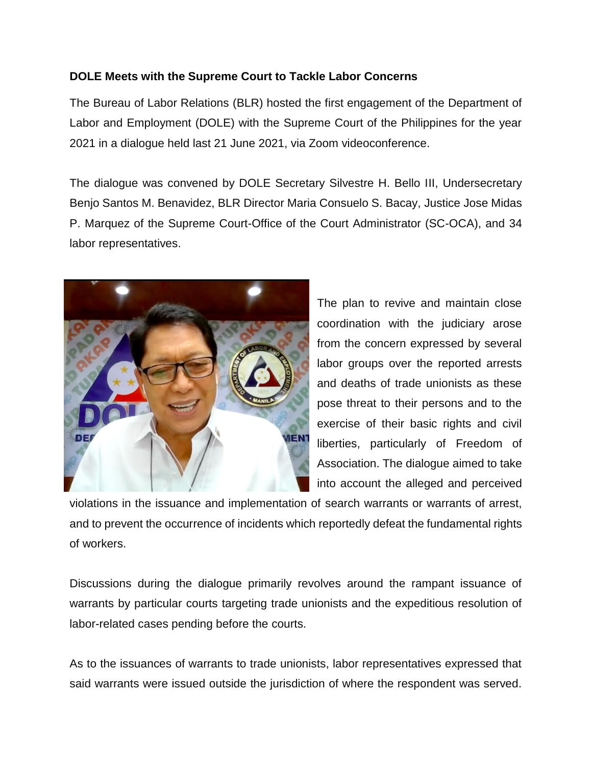## **DOLE Meets with the Supreme Court to Tackle Labor Concerns**

The Bureau of Labor Relations (BLR) hosted the first engagement of the Department of Labor and Employment (DOLE) with the Supreme Court of the Philippines for the year 2021 in a dialogue held last 21 June 2021, via Zoom videoconference.

The dialogue was convened by DOLE Secretary Silvestre H. Bello III, Undersecretary Benjo Santos M. Benavidez, BLR Director Maria Consuelo S. Bacay, Justice Jose Midas P. Marquez of the Supreme Court-Office of the Court Administrator (SC-OCA), and 34 labor representatives.



The plan to revive and maintain close coordination with the judiciary arose from the concern expressed by several labor groups over the reported arrests and deaths of trade unionists as these pose threat to their persons and to the exercise of their basic rights and civil liberties, particularly of Freedom of Association. The dialogue aimed to take into account the alleged and perceived

violations in the issuance and implementation of search warrants or warrants of arrest, and to prevent the occurrence of incidents which reportedly defeat the fundamental rights of workers.

Discussions during the dialogue primarily revolves around the rampant issuance of warrants by particular courts targeting trade unionists and the expeditious resolution of labor-related cases pending before the courts.

As to the issuances of warrants to trade unionists, labor representatives expressed that said warrants were issued outside the jurisdiction of where the respondent was served.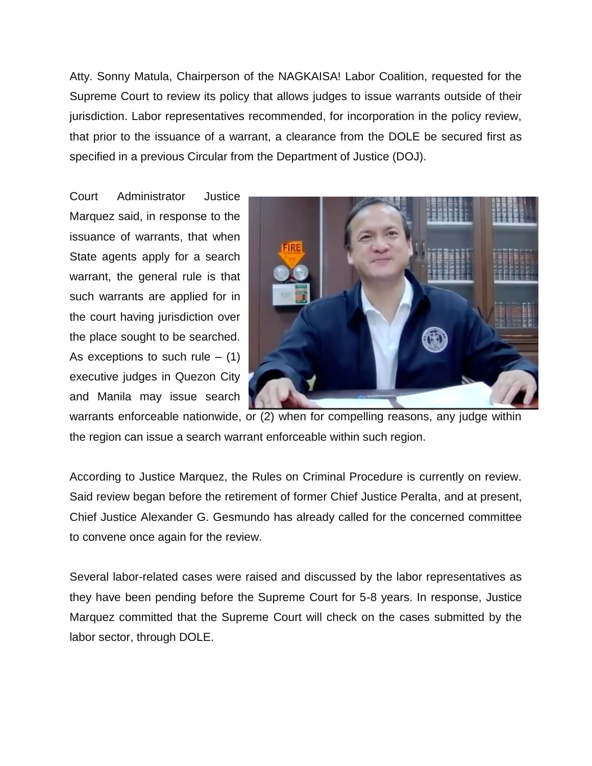Atty. Sonny Matula, Chairperson of the NAGKAISA! Labor Coalition, requested for the Supreme Court to review its policy that allows judges to issue warrants outside of their jurisdiction. Labor representatives recommended, for incorporation in the policy review, that prior to the issuance of a warrant, a clearance from the DOLE be secured first as specified in a previous Circular from the Department of Justice (DOJ).

Court Administrator Justice Marquez said, in response to the issuance of warrants, that when State agents apply for a search warrant, the general rule is that such warrants are applied for in the court having jurisdiction over the place sought to be searched. As exceptions to such rule  $-$  (1) executive judges in Quezon City and Manila may issue search



warrants enforceable nationwide, or (2) when for compelling reasons, any judge within the region can issue a search warrant enforceable within such region.

According to Justice Marquez, the Rules on Criminal Procedure is currently on review. Said review began before the retirement of former Chief Justice Peralta, and at present, Chief Justice Alexander G. Gesmundo has already called for the concerned committee to convene once again for the review.

Several labor-related cases were raised and discussed by the labor representatives as they have been pending before the Supreme Court for 5-8 years. In response, Justice Marquez committed that the Supreme Court will check on the cases submitted by the labor sector, through DOLE.